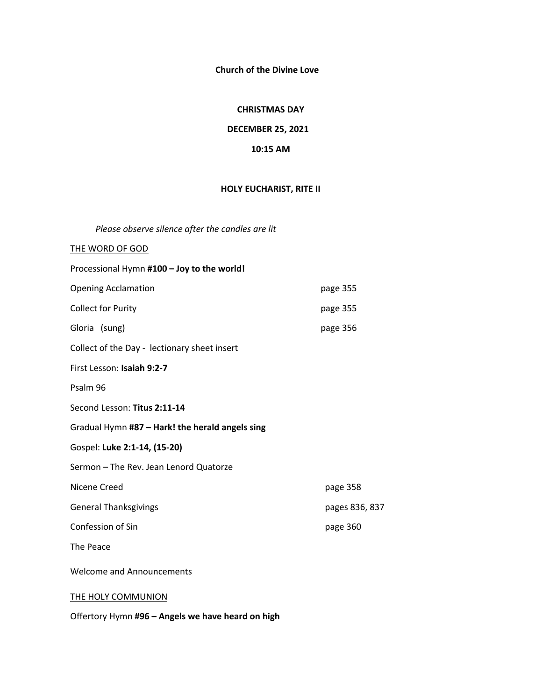**Church of the Divine Love**

### **CHRISTMAS DAY**

## **DECEMBER 25, 2021**

### **10:15 AM**

# **HOLY EUCHARIST, RITE II**

*Please observe silence after the candles are lit* 

| THE WORD OF GOD                                 |                |
|-------------------------------------------------|----------------|
| Processional Hymn #100 - Joy to the world!      |                |
| <b>Opening Acclamation</b>                      | page 355       |
| <b>Collect for Purity</b>                       | page 355       |
| Gloria (sung)                                   | page 356       |
| Collect of the Day - lectionary sheet insert    |                |
| First Lesson: Isaiah 9:2-7                      |                |
| Psalm 96                                        |                |
| Second Lesson: Titus 2:11-14                    |                |
| Gradual Hymn #87 - Hark! the herald angels sing |                |
| Gospel: Luke 2:1-14, (15-20)                    |                |
| Sermon - The Rev. Jean Lenord Quatorze          |                |
| Nicene Creed                                    | page 358       |
| <b>General Thanksgivings</b>                    | pages 836, 837 |
| Confession of Sin                               | page 360       |
| The Peace                                       |                |
| <b>Welcome and Announcements</b>                |                |
| <b>THE HOLY COMMUNION</b>                       |                |

Offertory Hymn **#96 – Angels we have heard on high**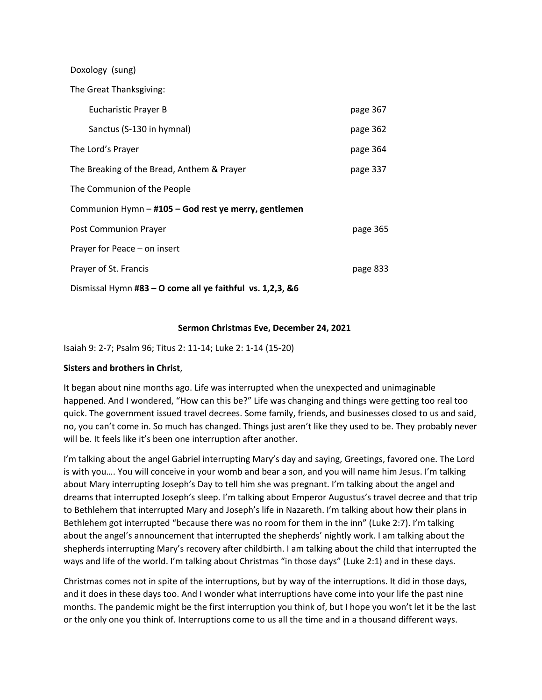| Doxology (sung)                                           |          |
|-----------------------------------------------------------|----------|
| The Great Thanksgiving:                                   |          |
| <b>Eucharistic Prayer B</b>                               | page 367 |
| Sanctus (S-130 in hymnal)                                 | page 362 |
| The Lord's Prayer                                         | page 364 |
| The Breaking of the Bread, Anthem & Prayer                | page 337 |
| The Communion of the People                               |          |
| Communion Hymn - #105 - God rest ye merry, gentlemen      |          |
| <b>Post Communion Prayer</b>                              | page 365 |
| Prayer for Peace - on insert                              |          |
| Prayer of St. Francis                                     | page 833 |
| Dismissal Hymn #83 - O come all ye faithful vs. 1,2,3, &6 |          |

## **Sermon Christmas Eve, December 24, 2021**

Isaiah 9: 2-7; Psalm 96; Titus 2: 11-14; Luke 2: 1-14 (15-20)

## **Sisters and brothers in Christ**,

It began about nine months ago. Life was interrupted when the unexpected and unimaginable happened. And I wondered, "How can this be?" Life was changing and things were getting too real too quick. The government issued travel decrees. Some family, friends, and businesses closed to us and said, no, you can't come in. So much has changed. Things just aren't like they used to be. They probably never will be. It feels like it's been one interruption after another.

I'm talking about the angel Gabriel interrupting Mary's day and saying, Greetings, favored one. The Lord is with you…. You will conceive in your womb and bear a son, and you will name him Jesus. I'm talking about Mary interrupting Joseph's Day to tell him she was pregnant. I'm talking about the angel and dreams that interrupted Joseph's sleep. I'm talking about Emperor Augustus's travel decree and that trip to Bethlehem that interrupted Mary and Joseph's life in Nazareth. I'm talking about how their plans in Bethlehem got interrupted "because there was no room for them in the inn" (Luke 2:7). I'm talking about the angel's announcement that interrupted the shepherds' nightly work. I am talking about the shepherds interrupting Mary's recovery after childbirth. I am talking about the child that interrupted the ways and life of the world. I'm talking about Christmas "in those days" (Luke 2:1) and in these days.

Christmas comes not in spite of the interruptions, but by way of the interruptions. It did in those days, and it does in these days too. And I wonder what interruptions have come into your life the past nine months. The pandemic might be the first interruption you think of, but I hope you won't let it be the last or the only one you think of. Interruptions come to us all the time and in a thousand different ways.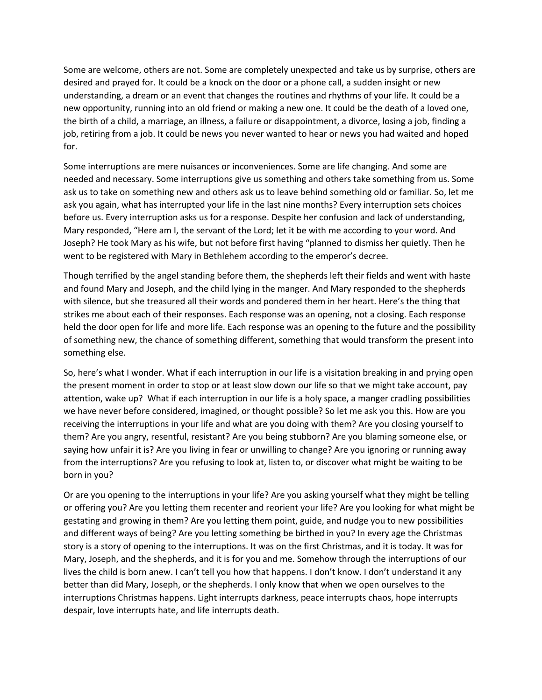Some are welcome, others are not. Some are completely unexpected and take us by surprise, others are desired and prayed for. It could be a knock on the door or a phone call, a sudden insight or new understanding, a dream or an event that changes the routines and rhythms of your life. It could be a new opportunity, running into an old friend or making a new one. It could be the death of a loved one, the birth of a child, a marriage, an illness, a failure or disappointment, a divorce, losing a job, finding a job, retiring from a job. It could be news you never wanted to hear or news you had waited and hoped for.

Some interruptions are mere nuisances or inconveniences. Some are life changing. And some are needed and necessary. Some interruptions give us something and others take something from us. Some ask us to take on something new and others ask us to leave behind something old or familiar. So, let me ask you again, what has interrupted your life in the last nine months? Every interruption sets choices before us. Every interruption asks us for a response. Despite her confusion and lack of understanding, Mary responded, "Here am I, the servant of the Lord; let it be with me according to your word. And Joseph? He took Mary as his wife, but not before first having "planned to dismiss her quietly. Then he went to be registered with Mary in Bethlehem according to the emperor's decree.

Though terrified by the angel standing before them, the shepherds left their fields and went with haste and found Mary and Joseph, and the child lying in the manger. And Mary responded to the shepherds with silence, but she treasured all their words and pondered them in her heart. Here's the thing that strikes me about each of their responses. Each response was an opening, not a closing. Each response held the door open for life and more life. Each response was an opening to the future and the possibility of something new, the chance of something different, something that would transform the present into something else.

So, here's what I wonder. What if each interruption in our life is a visitation breaking in and prying open the present moment in order to stop or at least slow down our life so that we might take account, pay attention, wake up? What if each interruption in our life is a holy space, a manger cradling possibilities we have never before considered, imagined, or thought possible? So let me ask you this. How are you receiving the interruptions in your life and what are you doing with them? Are you closing yourself to them? Are you angry, resentful, resistant? Are you being stubborn? Are you blaming someone else, or saying how unfair it is? Are you living in fear or unwilling to change? Are you ignoring or running away from the interruptions? Are you refusing to look at, listen to, or discover what might be waiting to be born in you?

Or are you opening to the interruptions in your life? Are you asking yourself what they might be telling or offering you? Are you letting them recenter and reorient your life? Are you looking for what might be gestating and growing in them? Are you letting them point, guide, and nudge you to new possibilities and different ways of being? Are you letting something be birthed in you? In every age the Christmas story is a story of opening to the interruptions. It was on the first Christmas, and it is today. It was for Mary, Joseph, and the shepherds, and it is for you and me. Somehow through the interruptions of our lives the child is born anew. I can't tell you how that happens. I don't know. I don't understand it any better than did Mary, Joseph, or the shepherds. I only know that when we open ourselves to the interruptions Christmas happens. Light interrupts darkness, peace interrupts chaos, hope interrupts despair, love interrupts hate, and life interrupts death.